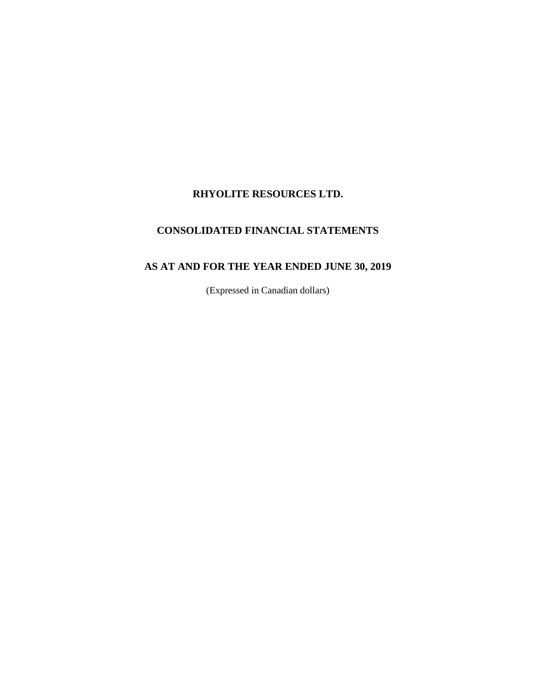# **CONSOLIDATED FINANCIAL STATEMENTS**

# **AS AT AND FOR THE YEAR ENDED JUNE 30, 2019**

(Expressed in Canadian dollars)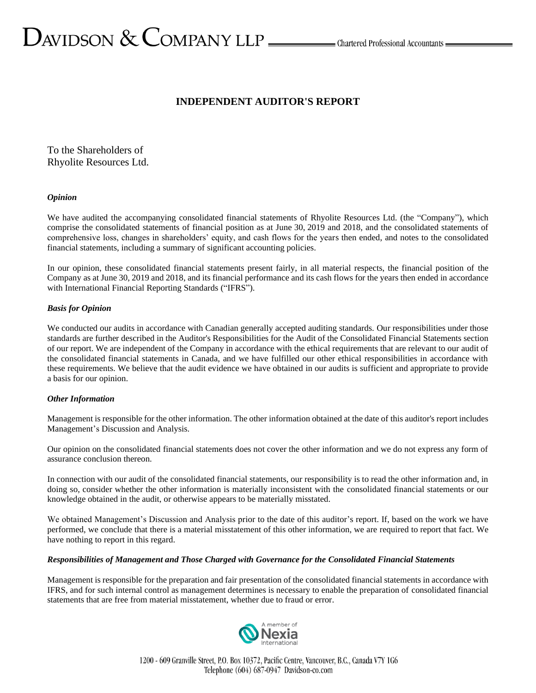# $D_{\text{AVIDSON}} \ \& \ \text{COMPANY LLP} \xrightarrow{\text{Charactered Professional Accountants}}$

# **INDEPENDENT AUDITOR'S REPORT**

To the Shareholders of Rhyolite Resources Ltd.

#### *Opinion*

We have audited the accompanying consolidated financial statements of Rhyolite Resources Ltd. (the "Company"), which comprise the consolidated statements of financial position as at June 30, 2019 and 2018, and the consolidated statements of comprehensive loss, changes in shareholders' equity, and cash flows for the years then ended, and notes to the consolidated financial statements, including a summary of significant accounting policies.

In our opinion, these consolidated financial statements present fairly, in all material respects, the financial position of the Company as at June 30, 2019 and 2018, and its financial performance and its cash flows for the years then ended in accordance with International Financial Reporting Standards ("IFRS").

#### *Basis for Opinion*

We conducted our audits in accordance with Canadian generally accepted auditing standards. Our responsibilities under those standards are further described in the Auditor's Responsibilities for the Audit of the Consolidated Financial Statements section of our report. We are independent of the Company in accordance with the ethical requirements that are relevant to our audit of the consolidated financial statements in Canada, and we have fulfilled our other ethical responsibilities in accordance with these requirements. We believe that the audit evidence we have obtained in our audits is sufficient and appropriate to provide a basis for our opinion.

#### *Other Information*

Management is responsible for the other information. The other information obtained at the date of this auditor's report includes Management's Discussion and Analysis.

Our opinion on the consolidated financial statements does not cover the other information and we do not express any form of assurance conclusion thereon.

In connection with our audit of the consolidated financial statements, our responsibility is to read the other information and, in doing so, consider whether the other information is materially inconsistent with the consolidated financial statements or our knowledge obtained in the audit, or otherwise appears to be materially misstated.

We obtained Management's Discussion and Analysis prior to the date of this auditor's report. If, based on the work we have performed, we conclude that there is a material misstatement of this other information, we are required to report that fact. We have nothing to report in this regard.

#### *Responsibilities of Management and Those Charged with Governance for the Consolidated Financial Statements*

Management is responsible for the preparation and fair presentation of the consolidated financial statements in accordance with IFRS, and for such internal control as management determines is necessary to enable the preparation of consolidated financial statements that are free from material misstatement, whether due to fraud or error.

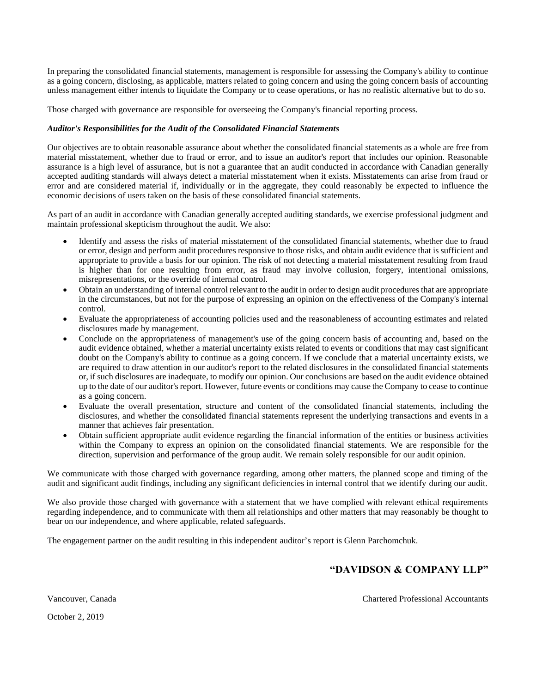In preparing the consolidated financial statements, management is responsible for assessing the Company's ability to continue as a going concern, disclosing, as applicable, matters related to going concern and using the going concern basis of accounting unless management either intends to liquidate the Company or to cease operations, or has no realistic alternative but to do so.

Those charged with governance are responsible for overseeing the Company's financial reporting process.

#### *Auditor's Responsibilities for the Audit of the Consolidated Financial Statements*

Our objectives are to obtain reasonable assurance about whether the consolidated financial statements as a whole are free from material misstatement, whether due to fraud or error, and to issue an auditor's report that includes our opinion. Reasonable assurance is a high level of assurance, but is not a guarantee that an audit conducted in accordance with Canadian generally accepted auditing standards will always detect a material misstatement when it exists. Misstatements can arise from fraud or error and are considered material if, individually or in the aggregate, they could reasonably be expected to influence the economic decisions of users taken on the basis of these consolidated financial statements.

As part of an audit in accordance with Canadian generally accepted auditing standards, we exercise professional judgment and maintain professional skepticism throughout the audit. We also:

- Identify and assess the risks of material misstatement of the consolidated financial statements, whether due to fraud or error, design and perform audit procedures responsive to those risks, and obtain audit evidence that is sufficient and appropriate to provide a basis for our opinion. The risk of not detecting a material misstatement resulting from fraud is higher than for one resulting from error, as fraud may involve collusion, forgery, intentional omissions, misrepresentations, or the override of internal control.
- Obtain an understanding of internal control relevant to the audit in order to design audit procedures that are appropriate in the circumstances, but not for the purpose of expressing an opinion on the effectiveness of the Company's internal control.
- Evaluate the appropriateness of accounting policies used and the reasonableness of accounting estimates and related disclosures made by management.
- Conclude on the appropriateness of management's use of the going concern basis of accounting and, based on the audit evidence obtained, whether a material uncertainty exists related to events or conditions that may cast significant doubt on the Company's ability to continue as a going concern. If we conclude that a material uncertainty exists, we are required to draw attention in our auditor's report to the related disclosures in the consolidated financial statements or, if such disclosures are inadequate, to modify our opinion. Our conclusions are based on the audit evidence obtained up to the date of our auditor's report. However, future events or conditions may cause the Company to cease to continue as a going concern.
- Evaluate the overall presentation, structure and content of the consolidated financial statements, including the disclosures, and whether the consolidated financial statements represent the underlying transactions and events in a manner that achieves fair presentation.
- Obtain sufficient appropriate audit evidence regarding the financial information of the entities or business activities within the Company to express an opinion on the consolidated financial statements. We are responsible for the direction, supervision and performance of the group audit. We remain solely responsible for our audit opinion.

We communicate with those charged with governance regarding, among other matters, the planned scope and timing of the audit and significant audit findings, including any significant deficiencies in internal control that we identify during our audit.

We also provide those charged with governance with a statement that we have complied with relevant ethical requirements regarding independence, and to communicate with them all relationships and other matters that may reasonably be thought to bear on our independence, and where applicable, related safeguards.

The engagement partner on the audit resulting in this independent auditor's report is Glenn Parchomchuk.

# **"DAVIDSON & COMPANY LLP"**

Vancouver, Canada Chartered Professional Accountants

October 2, 2019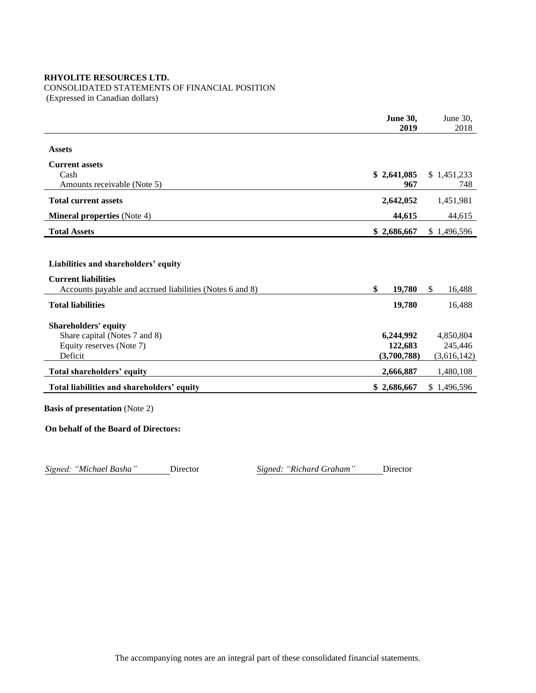# CONSOLIDATED STATEMENTS OF FINANCIAL POSITION

(Expressed in Canadian dollars)

|                                                          | <b>June 30,</b> | June 30,     |
|----------------------------------------------------------|-----------------|--------------|
|                                                          | 2019            | 2018         |
| <b>Assets</b>                                            |                 |              |
|                                                          |                 |              |
| <b>Current assets</b>                                    |                 |              |
| Cash                                                     | \$2,641,085     | \$1,451,233  |
| Amounts receivable (Note 5)                              | 967             | 748          |
| <b>Total current assets</b>                              | 2,642,052       | 1,451,981    |
| <b>Mineral properties</b> (Note 4)                       | 44,615          | 44,615       |
| <b>Total Assets</b>                                      | \$2,686,667     | \$1,496,596  |
|                                                          |                 |              |
| Liabilities and shareholders' equity                     |                 |              |
| <b>Current liabilities</b>                               |                 |              |
| Accounts payable and accrued liabilities (Notes 6 and 8) | \$<br>19,780    | 16,488<br>S. |
| <b>Total liabilities</b>                                 | 19,780          | 16,488       |
| <b>Shareholders' equity</b>                              |                 |              |
| Share capital (Notes 7 and 8)                            | 6,244,992       | 4,850,804    |
| Equity reserves (Note 7)                                 | 122,683         | 245,446      |
| Deficit                                                  | (3,700,788)     | (3,616,142)  |
| Total shareholders' equity                               | 2,666,887       | 1,480,108    |
| Total liabilities and shareholders' equity               | \$2,686,667     | \$1,496,596  |
| <b>Basis of presentation</b> (Note 2)                    |                 |              |
|                                                          |                 |              |
| On behalf of the Board of Directors:                     |                 |              |
|                                                          |                 |              |
|                                                          |                 |              |

*Signed: "Michael Basha"* Director *Signed: "Richard Graham"* Director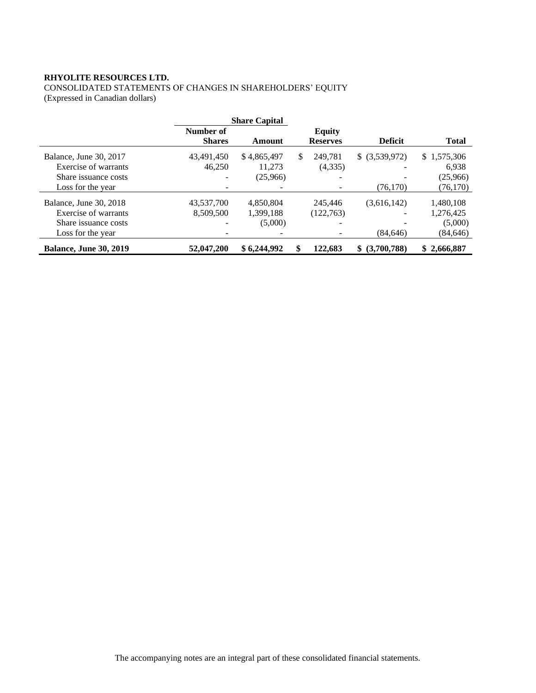CONSOLIDATED STATEMENTS OF CHANGES IN SHAREHOLDERS' EQUITY (Expressed in Canadian dollars)

|                                              |                            | <b>Share Capital</b> |                                  |                   |                   |
|----------------------------------------------|----------------------------|----------------------|----------------------------------|-------------------|-------------------|
|                                              | Number of<br><b>Shares</b> | Amount               | <b>Equity</b><br><b>Reserves</b> | <b>Deficit</b>    | <b>Total</b>      |
| Balance, June 30, 2017                       | 43.491.450                 | \$4,865,497          | \$<br>249.781                    | \$ (3,539,972)    | \$1,575,306       |
| Exercise of warrants<br>Share issuance costs | 46,250                     | 11,273<br>(25,966)   | (4,335)                          |                   | 6,938<br>(25,966) |
| Loss for the year                            |                            |                      |                                  | (76,170)          | (76, 170)         |
| Balance, June 30, 2018                       | 43,537,700                 | 4,850,804            | 245,446                          | (3,616,142)       | 1,480,108         |
| Exercise of warrants                         | 8,509,500                  | 1,399,188            | (122,763)                        |                   | 1.276.425         |
| Share issuance costs                         |                            | (5,000)              |                                  |                   | (5,000)           |
| Loss for the year                            |                            |                      |                                  | (84, 646)         | (84, 646)         |
| <b>Balance, June 30, 2019</b>                | 52,047,200                 | \$6,244,992          | \$<br>122,683                    | (3,700,788)<br>S. | \$2,666,887       |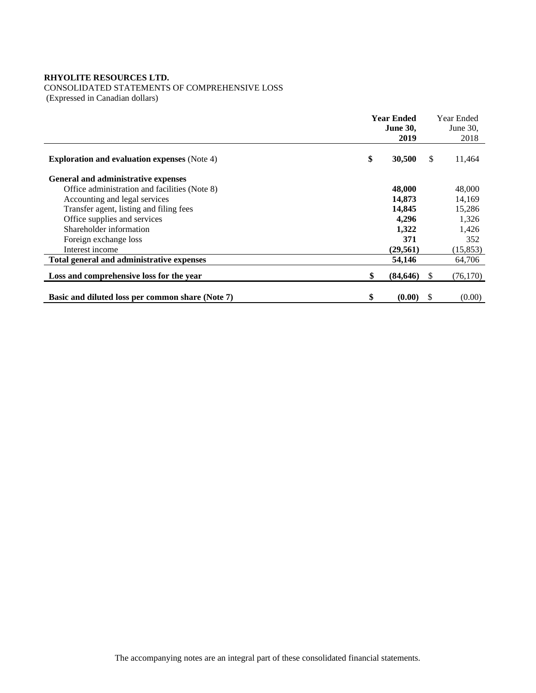# CONSOLIDATED STATEMENTS OF COMPREHENSIVE LOSS

(Expressed in Canadian dollars)

|                                                     | <b>Year Ended</b> |           | <b>Year Ended</b> |           |
|-----------------------------------------------------|-------------------|-----------|-------------------|-----------|
|                                                     | <b>June 30,</b>   |           | June $30$ ,       |           |
|                                                     |                   | 2019      |                   | 2018      |
| <b>Exploration and evaluation expenses</b> (Note 4) | \$                | 30,500    | \$                | 11,464    |
| General and administrative expenses                 |                   |           |                   |           |
| Office administration and facilities (Note 8)       |                   | 48,000    |                   | 48,000    |
| Accounting and legal services                       |                   | 14,873    |                   | 14,169    |
| Transfer agent, listing and filing fees             |                   | 14,845    |                   | 15,286    |
| Office supplies and services                        |                   | 4,296     |                   | 1,326     |
| Shareholder information                             |                   | 1,322     |                   | 1,426     |
| Foreign exchange loss                               |                   | 371       |                   | 352       |
| Interest income                                     |                   | (29, 561) |                   | (15, 853) |
| Total general and administrative expenses           |                   | 54.146    |                   | 64,706    |
| Loss and comprehensive loss for the year            | \$                | (84, 646) | S                 | (76,170)  |
| Basic and diluted loss per common share (Note 7)    | \$                | (0.00)    | S                 | (0.00)    |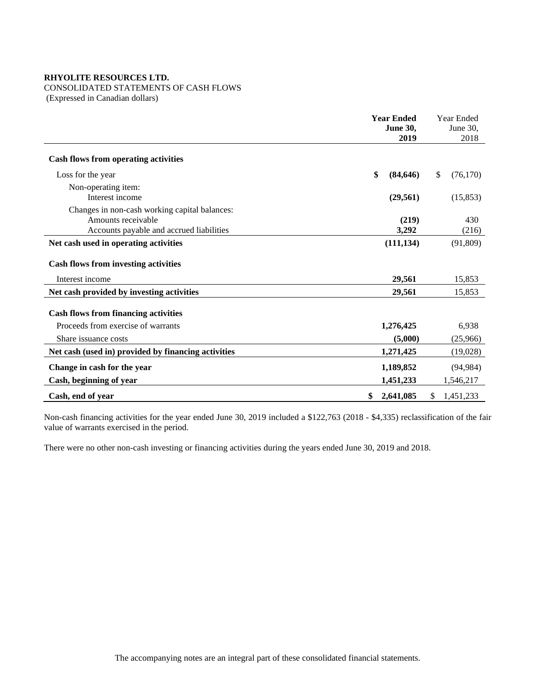# CONSOLIDATED STATEMENTS OF CASH FLOWS

(Expressed in Canadian dollars)

|                                                                                                                 | <b>Year Ended</b><br><b>June 30,</b><br>2019 | <b>Year Ended</b><br>June 30,<br>2018 |
|-----------------------------------------------------------------------------------------------------------------|----------------------------------------------|---------------------------------------|
| <b>Cash flows from operating activities</b>                                                                     |                                              |                                       |
| Loss for the year                                                                                               | \$<br>(84, 646)                              | \$<br>(76,170)                        |
| Non-operating item:<br>Interest income                                                                          | (29, 561)                                    | (15, 853)                             |
| Changes in non-cash working capital balances:<br>Amounts receivable<br>Accounts payable and accrued liabilities | (219)<br>3,292                               | 430<br>(216)                          |
| Net cash used in operating activities                                                                           | (111, 134)                                   | (91, 809)                             |
| <b>Cash flows from investing activities</b>                                                                     |                                              |                                       |
| Interest income                                                                                                 | 29,561                                       | 15,853                                |
| Net cash provided by investing activities                                                                       | 29,561                                       | 15,853                                |
| <b>Cash flows from financing activities</b>                                                                     |                                              |                                       |
| Proceeds from exercise of warrants                                                                              | 1,276,425                                    | 6,938                                 |
| Share issuance costs                                                                                            | (5,000)                                      | (25,966)                              |
| Net cash (used in) provided by financing activities                                                             | 1,271,425                                    | (19,028)                              |
| Change in cash for the year                                                                                     | 1,189,852                                    | (94, 984)                             |
| Cash, beginning of year                                                                                         | 1,451,233                                    | 1,546,217                             |
| Cash, end of year                                                                                               | 2,641,085<br>\$                              | 1,451,233<br>\$.                      |

Non-cash financing activities for the year ended June 30, 2019 included a \$122,763 (2018 - \$4,335) reclassification of the fair value of warrants exercised in the period.

There were no other non-cash investing or financing activities during the years ended June 30, 2019 and 2018.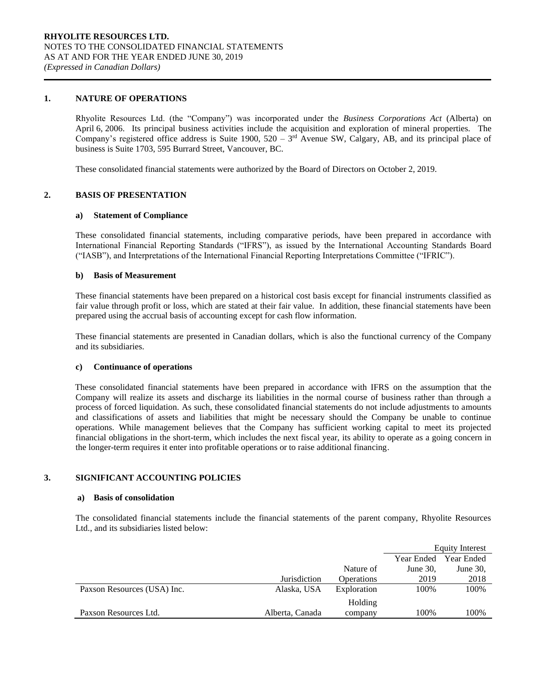#### **1. NATURE OF OPERATIONS**

Rhyolite Resources Ltd. (the "Company") was incorporated under the *Business Corporations Act* (Alberta) on April 6, 2006. Its principal business activities include the acquisition and exploration of mineral properties. The Company's registered office address is Suite 1900,  $520 - 3<sup>rd</sup>$  Avenue SW, Calgary, AB, and its principal place of business is Suite 1703, 595 Burrard Street, Vancouver, BC.

These consolidated financial statements were authorized by the Board of Directors on October 2, 2019.

## **2. BASIS OF PRESENTATION**

#### **a) Statement of Compliance**

These consolidated financial statements, including comparative periods, have been prepared in accordance with International Financial Reporting Standards ("IFRS"), as issued by the International Accounting Standards Board ("IASB"), and Interpretations of the International Financial Reporting Interpretations Committee ("IFRIC").

#### **b) Basis of Measurement**

These financial statements have been prepared on a historical cost basis except for financial instruments classified as fair value through profit or loss, which are stated at their fair value. In addition, these financial statements have been prepared using the accrual basis of accounting except for cash flow information.

These financial statements are presented in Canadian dollars, which is also the functional currency of the Company and its subsidiaries.

#### **c) Continuance of operations**

These consolidated financial statements have been prepared in accordance with IFRS on the assumption that the Company will realize its assets and discharge its liabilities in the normal course of business rather than through a process of forced liquidation. As such, these consolidated financial statements do not include adjustments to amounts and classifications of assets and liabilities that might be necessary should the Company be unable to continue operations. While management believes that the Company has sufficient working capital to meet its projected financial obligations in the short-term, which includes the next fiscal year, its ability to operate as a going concern in the longer-term requires it enter into profitable operations or to raise additional financing.

#### **3. SIGNIFICANT ACCOUNTING POLICIES**

#### **a) Basis of consolidation**

The consolidated financial statements include the financial statements of the parent company, Rhyolite Resources Ltd., and its subsidiaries listed below:

|                             |                 |             |             | Equity Interest   |
|-----------------------------|-----------------|-------------|-------------|-------------------|
|                             |                 |             | Year Ended  | <b>Year Ended</b> |
|                             |                 | Nature of   | June $30$ , | June $30$ ,       |
|                             | Jurisdiction    | Operations  | 2019        | 2018              |
| Paxson Resources (USA) Inc. | Alaska, USA     | Exploration | 100%        | 100%              |
|                             |                 | Holding     |             |                   |
| Paxson Resources Ltd.       | Alberta, Canada | company     | 100%        | 100%              |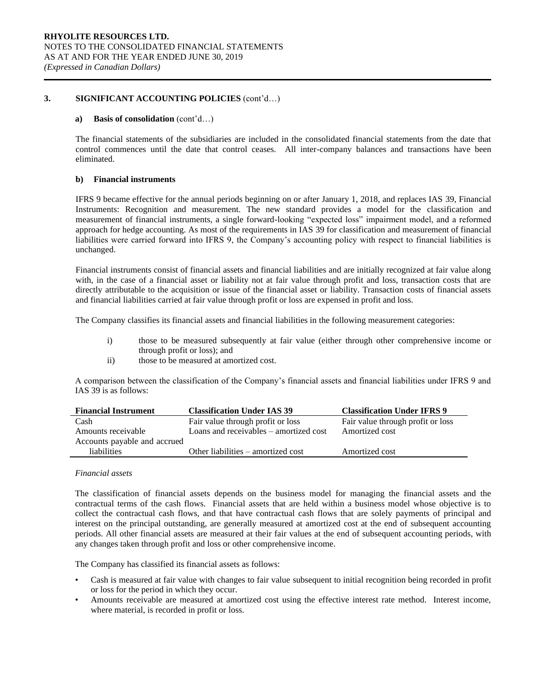#### **a) Basis of consolidation** (cont'd…)

The financial statements of the subsidiaries are included in the consolidated financial statements from the date that control commences until the date that control ceases. All inter-company balances and transactions have been eliminated.

#### **b) Financial instruments**

IFRS 9 became effective for the annual periods beginning on or after January 1, 2018, and replaces IAS 39, Financial Instruments: Recognition and measurement. The new standard provides a model for the classification and measurement of financial instruments, a single forward-looking "expected loss" impairment model, and a reformed approach for hedge accounting. As most of the requirements in IAS 39 for classification and measurement of financial liabilities were carried forward into IFRS 9, the Company's accounting policy with respect to financial liabilities is unchanged.

Financial instruments consist of financial assets and financial liabilities and are initially recognized at fair value along with, in the case of a financial asset or liability not at fair value through profit and loss, transaction costs that are directly attributable to the acquisition or issue of the financial asset or liability. Transaction costs of financial assets and financial liabilities carried at fair value through profit or loss are expensed in profit and loss.

The Company classifies its financial assets and financial liabilities in the following measurement categories:

- i) those to be measured subsequently at fair value (either through other comprehensive income or through profit or loss); and
- ii) those to be measured at amortized cost.

A comparison between the classification of the Company's financial assets and financial liabilities under IFRS 9 and IAS 39 is as follows:

| <b>Financial Instrument</b>  | <b>Classification Under IAS 39</b>     | <b>Classification Under IFRS 9</b> |
|------------------------------|----------------------------------------|------------------------------------|
| Cash                         | Fair value through profit or loss      | Fair value through profit or loss  |
| Amounts receivable           | Loans and receivables – amortized cost | Amortized cost                     |
| Accounts payable and accrued |                                        |                                    |
| <i>liabilities</i>           | Other liabilities $-$ amortized cost   | Amortized cost                     |

#### *Financial assets*

The classification of financial assets depends on the business model for managing the financial assets and the contractual terms of the cash flows. Financial assets that are held within a business model whose objective is to collect the contractual cash flows, and that have contractual cash flows that are solely payments of principal and interest on the principal outstanding, are generally measured at amortized cost at the end of subsequent accounting periods. All other financial assets are measured at their fair values at the end of subsequent accounting periods, with any changes taken through profit and loss or other comprehensive income.

The Company has classified its financial assets as follows:

- Cash is measured at fair value with changes to fair value subsequent to initial recognition being recorded in profit or loss for the period in which they occur.
- Amounts receivable are measured at amortized cost using the effective interest rate method. Interest income, where material, is recorded in profit or loss.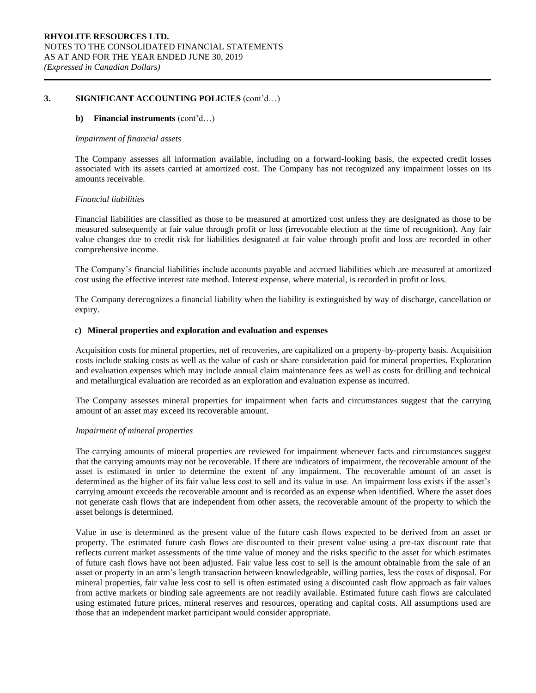#### **b) Financial instruments** (cont'd…)

#### *Impairment of financial assets*

The Company assesses all information available, including on a forward-looking basis, the expected credit losses associated with its assets carried at amortized cost. The Company has not recognized any impairment losses on its amounts receivable.

#### *Financial liabilities*

Financial liabilities are classified as those to be measured at amortized cost unless they are designated as those to be measured subsequently at fair value through profit or loss (irrevocable election at the time of recognition). Any fair value changes due to credit risk for liabilities designated at fair value through profit and loss are recorded in other comprehensive income.

The Company's financial liabilities include accounts payable and accrued liabilities which are measured at amortized cost using the effective interest rate method. Interest expense, where material, is recorded in profit or loss.

The Company derecognizes a financial liability when the liability is extinguished by way of discharge, cancellation or expiry.

#### **c) Mineral properties and exploration and evaluation and expenses**

Acquisition costs for mineral properties, net of recoveries, are capitalized on a property-by-property basis. Acquisition costs include staking costs as well as the value of cash or share consideration paid for mineral properties. Exploration and evaluation expenses which may include annual claim maintenance fees as well as costs for drilling and technical and metallurgical evaluation are recorded as an exploration and evaluation expense as incurred.

The Company assesses mineral properties for impairment when facts and circumstances suggest that the carrying amount of an asset may exceed its recoverable amount.

#### *Impairment of mineral properties*

The carrying amounts of mineral properties are reviewed for impairment whenever facts and circumstances suggest that the carrying amounts may not be recoverable. If there are indicators of impairment, the recoverable amount of the asset is estimated in order to determine the extent of any impairment. The recoverable amount of an asset is determined as the higher of its fair value less cost to sell and its value in use. An impairment loss exists if the asset's carrying amount exceeds the recoverable amount and is recorded as an expense when identified. Where the asset does not generate cash flows that are independent from other assets, the recoverable amount of the property to which the asset belongs is determined.

Value in use is determined as the present value of the future cash flows expected to be derived from an asset or property. The estimated future cash flows are discounted to their present value using a pre-tax discount rate that reflects current market assessments of the time value of money and the risks specific to the asset for which estimates of future cash flows have not been adjusted. Fair value less cost to sell is the amount obtainable from the sale of an asset or property in an arm's length transaction between knowledgeable, willing parties, less the costs of disposal. For mineral properties, fair value less cost to sell is often estimated using a discounted cash flow approach as fair values from active markets or binding sale agreements are not readily available. Estimated future cash flows are calculated using estimated future prices, mineral reserves and resources, operating and capital costs. All assumptions used are those that an independent market participant would consider appropriate.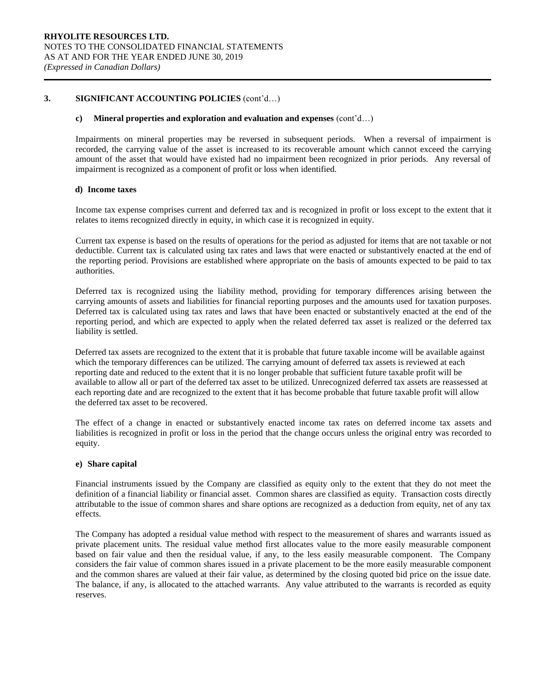#### **c) Mineral properties and exploration and evaluation and expenses** (cont'd…)

Impairments on mineral properties may be reversed in subsequent periods. When a reversal of impairment is recorded, the carrying value of the asset is increased to its recoverable amount which cannot exceed the carrying amount of the asset that would have existed had no impairment been recognized in prior periods. Any reversal of impairment is recognized as a component of profit or loss when identified.

#### **d) Income taxes**

Income tax expense comprises current and deferred tax and is recognized in profit or loss except to the extent that it relates to items recognized directly in equity, in which case it is recognized in equity.

Current tax expense is based on the results of operations for the period as adjusted for items that are not taxable or not deductible. Current tax is calculated using tax rates and laws that were enacted or substantively enacted at the end of the reporting period. Provisions are established where appropriate on the basis of amounts expected to be paid to tax authorities.

Deferred tax is recognized using the liability method, providing for temporary differences arising between the carrying amounts of assets and liabilities for financial reporting purposes and the amounts used for taxation purposes. Deferred tax is calculated using tax rates and laws that have been enacted or substantively enacted at the end of the reporting period, and which are expected to apply when the related deferred tax asset is realized or the deferred tax liability is settled.

Deferred tax assets are recognized to the extent that it is probable that future taxable income will be available against which the temporary differences can be utilized. The carrying amount of deferred tax assets is reviewed at each reporting date and reduced to the extent that it is no longer probable that sufficient future taxable profit will be available to allow all or part of the deferred tax asset to be utilized. Unrecognized deferred tax assets are reassessed at each reporting date and are recognized to the extent that it has become probable that future taxable profit will allow the deferred tax asset to be recovered.

The effect of a change in enacted or substantively enacted income tax rates on deferred income tax assets and liabilities is recognized in profit or loss in the period that the change occurs unless the original entry was recorded to equity.

#### **e) Share capital**

Financial instruments issued by the Company are classified as equity only to the extent that they do not meet the definition of a financial liability or financial asset. Common shares are classified as equity. Transaction costs directly attributable to the issue of common shares and share options are recognized as a deduction from equity, net of any tax effects.

The Company has adopted a residual value method with respect to the measurement of shares and warrants issued as private placement units. The residual value method first allocates value to the more easily measurable component based on fair value and then the residual value, if any, to the less easily measurable component. The Company considers the fair value of common shares issued in a private placement to be the more easily measurable component and the common shares are valued at their fair value, as determined by the closing quoted bid price on the issue date. The balance, if any, is allocated to the attached warrants. Any value attributed to the warrants is recorded as equity reserves.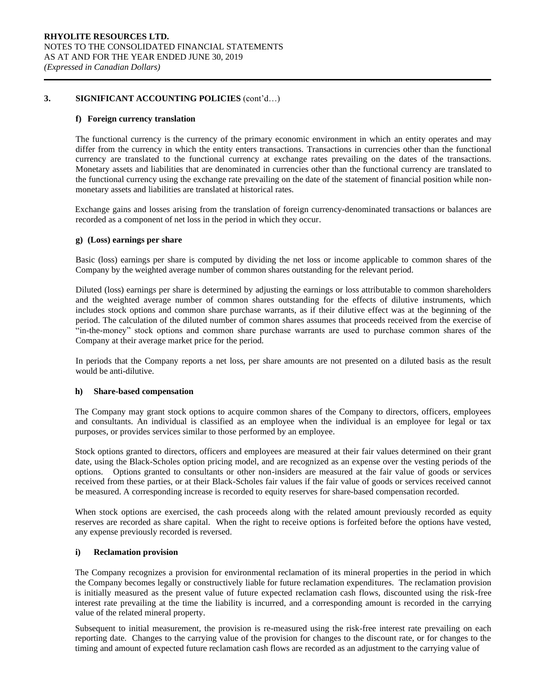#### **f) Foreign currency translation**

The functional currency is the currency of the primary economic environment in which an entity operates and may differ from the currency in which the entity enters transactions. Transactions in currencies other than the functional currency are translated to the functional currency at exchange rates prevailing on the dates of the transactions. Monetary assets and liabilities that are denominated in currencies other than the functional currency are translated to the functional currency using the exchange rate prevailing on the date of the statement of financial position while nonmonetary assets and liabilities are translated at historical rates.

Exchange gains and losses arising from the translation of foreign currency-denominated transactions or balances are recorded as a component of net loss in the period in which they occur.

#### **g) (Loss) earnings per share**

Basic (loss) earnings per share is computed by dividing the net loss or income applicable to common shares of the Company by the weighted average number of common shares outstanding for the relevant period.

Diluted (loss) earnings per share is determined by adjusting the earnings or loss attributable to common shareholders and the weighted average number of common shares outstanding for the effects of dilutive instruments, which includes stock options and common share purchase warrants, as if their dilutive effect was at the beginning of the period. The calculation of the diluted number of common shares assumes that proceeds received from the exercise of "in-the-money" stock options and common share purchase warrants are used to purchase common shares of the Company at their average market price for the period.

In periods that the Company reports a net loss, per share amounts are not presented on a diluted basis as the result would be anti-dilutive.

#### **h) Share-based compensation**

The Company may grant stock options to acquire common shares of the Company to directors, officers, employees and consultants. An individual is classified as an employee when the individual is an employee for legal or tax purposes, or provides services similar to those performed by an employee.

Stock options granted to directors, officers and employees are measured at their fair values determined on their grant date, using the Black-Scholes option pricing model, and are recognized as an expense over the vesting periods of the options. Options granted to consultants or other non-insiders are measured at the fair value of goods or services received from these parties, or at their Black-Scholes fair values if the fair value of goods or services received cannot be measured. A corresponding increase is recorded to equity reserves for share-based compensation recorded.

When stock options are exercised, the cash proceeds along with the related amount previously recorded as equity reserves are recorded as share capital. When the right to receive options is forfeited before the options have vested, any expense previously recorded is reversed.

#### **i) Reclamation provision**

The Company recognizes a provision for environmental reclamation of its mineral properties in the period in which the Company becomes legally or constructively liable for future reclamation expenditures. The reclamation provision is initially measured as the present value of future expected reclamation cash flows, discounted using the risk-free interest rate prevailing at the time the liability is incurred, and a corresponding amount is recorded in the carrying value of the related mineral property.

Subsequent to initial measurement, the provision is re-measured using the risk-free interest rate prevailing on each reporting date. Changes to the carrying value of the provision for changes to the discount rate, or for changes to the timing and amount of expected future reclamation cash flows are recorded as an adjustment to the carrying value of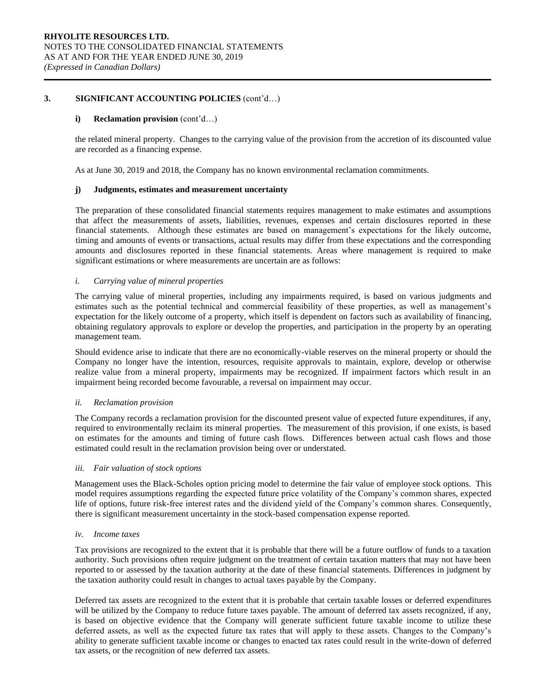#### **i) Reclamation provision** (cont'd...)

the related mineral property. Changes to the carrying value of the provision from the accretion of its discounted value are recorded as a financing expense.

As at June 30, 2019 and 2018, the Company has no known environmental reclamation commitments.

#### **j) Judgments, estimates and measurement uncertainty**

The preparation of these consolidated financial statements requires management to make estimates and assumptions that affect the measurements of assets, liabilities, revenues, expenses and certain disclosures reported in these financial statements. Although these estimates are based on management's expectations for the likely outcome, timing and amounts of events or transactions, actual results may differ from these expectations and the corresponding amounts and disclosures reported in these financial statements. Areas where management is required to make significant estimations or where measurements are uncertain are as follows:

#### *i. Carrying value of mineral properties*

The carrying value of mineral properties, including any impairments required, is based on various judgments and estimates such as the potential technical and commercial feasibility of these properties, as well as management's expectation for the likely outcome of a property, which itself is dependent on factors such as availability of financing, obtaining regulatory approvals to explore or develop the properties, and participation in the property by an operating management team.

Should evidence arise to indicate that there are no economically-viable reserves on the mineral property or should the Company no longer have the intention, resources, requisite approvals to maintain, explore, develop or otherwise realize value from a mineral property, impairments may be recognized. If impairment factors which result in an impairment being recorded become favourable, a reversal on impairment may occur.

#### *ii. Reclamation provision*

The Company records a reclamation provision for the discounted present value of expected future expenditures, if any, required to environmentally reclaim its mineral properties. The measurement of this provision, if one exists, is based on estimates for the amounts and timing of future cash flows. Differences between actual cash flows and those estimated could result in the reclamation provision being over or understated.

#### *iii. Fair valuation of stock options*

Management uses the Black-Scholes option pricing model to determine the fair value of employee stock options. This model requires assumptions regarding the expected future price volatility of the Company's common shares, expected life of options, future risk-free interest rates and the dividend yield of the Company's common shares. Consequently, there is significant measurement uncertainty in the stock-based compensation expense reported.

#### *iv. Income taxes*

Tax provisions are recognized to the extent that it is probable that there will be a future outflow of funds to a taxation authority. Such provisions often require judgment on the treatment of certain taxation matters that may not have been reported to or assessed by the taxation authority at the date of these financial statements. Differences in judgment by the taxation authority could result in changes to actual taxes payable by the Company.

Deferred tax assets are recognized to the extent that it is probable that certain taxable losses or deferred expenditures will be utilized by the Company to reduce future taxes payable. The amount of deferred tax assets recognized, if any, is based on objective evidence that the Company will generate sufficient future taxable income to utilize these deferred assets, as well as the expected future tax rates that will apply to these assets. Changes to the Company's ability to generate sufficient taxable income or changes to enacted tax rates could result in the write-down of deferred tax assets, or the recognition of new deferred tax assets.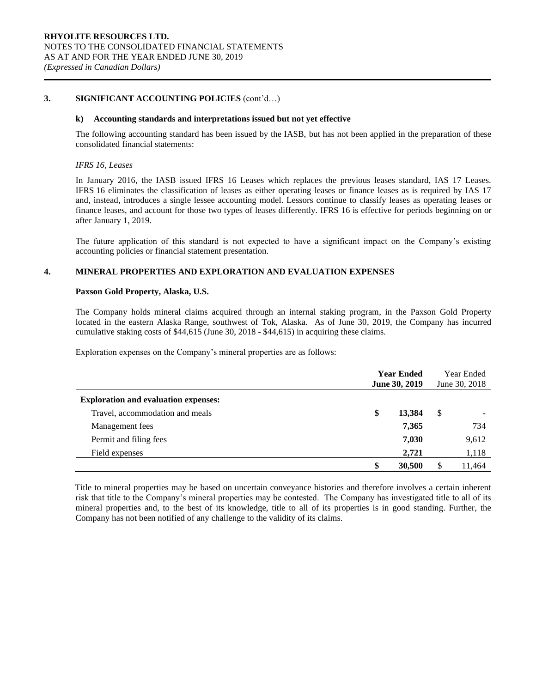#### **k) Accounting standards and interpretations issued but not yet effective**

The following accounting standard has been issued by the IASB, but has not been applied in the preparation of these consolidated financial statements:

#### *IFRS 16, Leases*

In January 2016, the IASB issued IFRS 16 Leases which replaces the previous leases standard, IAS 17 Leases. IFRS 16 eliminates the classification of leases as either operating leases or finance leases as is required by IAS 17 and, instead, introduces a single lessee accounting model. Lessors continue to classify leases as operating leases or finance leases, and account for those two types of leases differently. IFRS 16 is effective for periods beginning on or after January 1, 2019.

The future application of this standard is not expected to have a significant impact on the Company's existing accounting policies or financial statement presentation.

#### **4. MINERAL PROPERTIES AND EXPLORATION AND EVALUATION EXPENSES**

#### **Paxson Gold Property, Alaska, U.S.**

The Company holds mineral claims acquired through an internal staking program, in the Paxson Gold Property located in the eastern Alaska Range, southwest of Tok, Alaska. As of June 30, 2019, the Company has incurred cumulative staking costs of \$44,615 (June 30, 2018 - \$44,615) in acquiring these claims.

Exploration expenses on the Company's mineral properties are as follows:

|                                             | <b>Year Ended</b><br>June 30, 2019 |        |   | Year Ended<br>June 30, 2018 |  |
|---------------------------------------------|------------------------------------|--------|---|-----------------------------|--|
| <b>Exploration and evaluation expenses:</b> |                                    |        |   |                             |  |
| Travel, accommodation and meals             | \$                                 | 13,384 | S |                             |  |
| Management fees                             |                                    | 7,365  |   | 734                         |  |
| Permit and filing fees                      |                                    | 7,030  |   | 9,612                       |  |
| Field expenses                              |                                    | 2,721  |   | 1,118                       |  |
|                                             | \$                                 | 30,500 |   | 11,464                      |  |

Title to mineral properties may be based on uncertain conveyance histories and therefore involves a certain inherent risk that title to the Company's mineral properties may be contested. The Company has investigated title to all of its mineral properties and, to the best of its knowledge, title to all of its properties is in good standing. Further, the Company has not been notified of any challenge to the validity of its claims.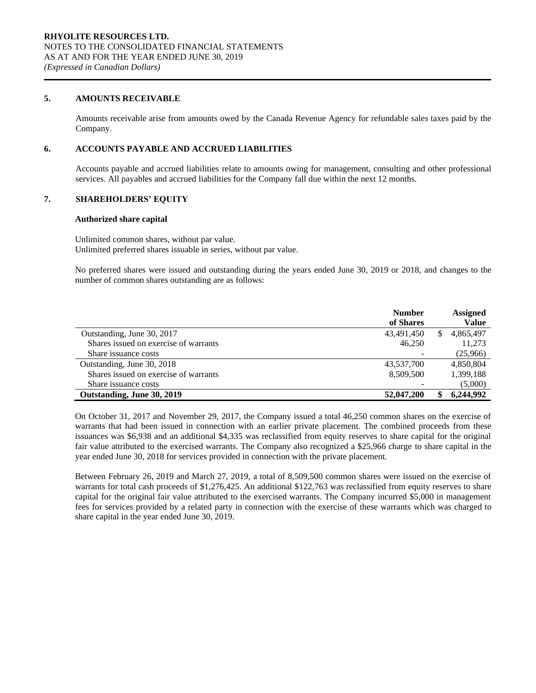#### **5. AMOUNTS RECEIVABLE**

Amounts receivable arise from amounts owed by the Canada Revenue Agency for refundable sales taxes paid by the Company.

#### **6. ACCOUNTS PAYABLE AND ACCRUED LIABILITIES**

Accounts payable and accrued liabilities relate to amounts owing for management, consulting and other professional services. All payables and accrued liabilities for the Company fall due within the next 12 months.

#### **7. SHAREHOLDERS' EQUITY**

#### **Authorized share capital**

Unlimited common shares, without par value. Unlimited preferred shares issuable in series, without par value.

No preferred shares were issued and outstanding during the years ended June 30, 2019 or 2018, and changes to the number of common shares outstanding are as follows:

|                                       | <b>Number</b><br>of Shares |     | <b>Assigned</b><br>Value |
|---------------------------------------|----------------------------|-----|--------------------------|
| Outstanding, June 30, 2017            | 43,491,450                 | \$. | 4,865,497                |
| Shares issued on exercise of warrants | 46.250                     |     | 11,273                   |
| Share issuance costs                  |                            |     | (25,966)                 |
| Outstanding, June 30, 2018            | 43,537,700                 |     | 4.850.804                |
| Shares issued on exercise of warrants | 8,509,500                  |     | 1,399,188                |
| Share issuance costs                  |                            |     | (5,000)                  |
| Outstanding, June 30, 2019            | 52,047,200                 |     | 6,244,992                |

On October 31, 2017 and November 29, 2017, the Company issued a total 46,250 common shares on the exercise of warrants that had been issued in connection with an earlier private placement. The combined proceeds from these issuances was \$6,938 and an additional \$4,335 was reclassified from equity reserves to share capital for the original fair value attributed to the exercised warrants. The Company also recognized a \$25,966 charge to share capital in the year ended June 30, 2018 for services provided in connection with the private placement.

Between February 26, 2019 and March 27, 2019, a total of 8,509,500 common shares were issued on the exercise of warrants for total cash proceeds of \$1,276,425. An additional \$122,763 was reclassified from equity reserves to share capital for the original fair value attributed to the exercised warrants. The Company incurred \$5,000 in management fees for services provided by a related party in connection with the exercise of these warrants which was charged to share capital in the year ended June 30, 2019.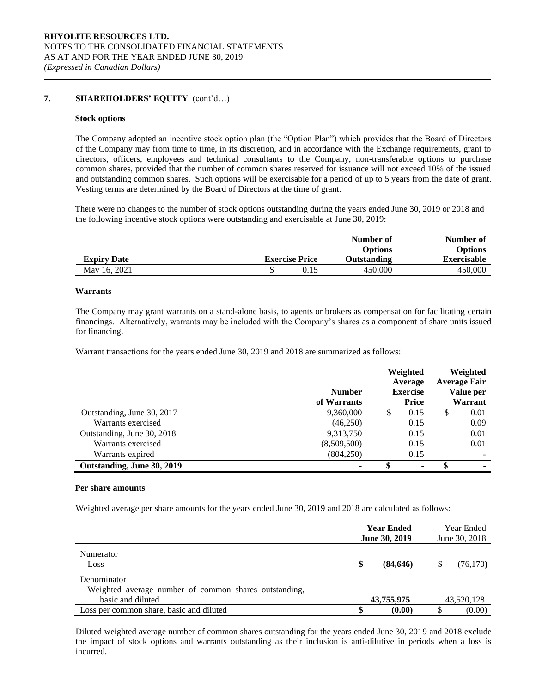#### **7. SHAREHOLDERS' EQUITY** (cont'd…)

#### **Stock options**

The Company adopted an incentive stock option plan (the "Option Plan") which provides that the Board of Directors of the Company may from time to time, in its discretion, and in accordance with the Exchange requirements, grant to directors, officers, employees and technical consultants to the Company, non-transferable options to purchase common shares, provided that the number of common shares reserved for issuance will not exceed 10% of the issued and outstanding common shares. Such options will be exercisable for a period of up to 5 years from the date of grant. Vesting terms are determined by the Board of Directors at the time of grant.

There were no changes to the number of stock options outstanding during the years ended June 30, 2019 or 2018 and the following incentive stock options were outstanding and exercisable at June 30, 2019:

|                       | Number of      | Number of          |
|-----------------------|----------------|--------------------|
|                       | <b>Options</b> | <b>Options</b>     |
| <b>Exercise Price</b> | Outstanding    | <b>Exercisable</b> |
| 0.15                  | 450,000        | 450,000            |
|                       |                |                    |

#### **Warrants**

The Company may grant warrants on a stand-alone basis, to agents or brokers as compensation for facilitating certain financings. Alternatively, warrants may be included with the Company's shares as a component of share units issued for financing.

Warrant transactions for the years ended June 30, 2019 and 2018 are summarized as follows:

|                            | <b>Number</b> | Weighted<br>Average<br><b>Exercise</b> |   | Weighted<br><b>Average Fair</b><br>Value per |
|----------------------------|---------------|----------------------------------------|---|----------------------------------------------|
|                            | of Warrants   | Price                                  |   | Warrant                                      |
| Outstanding, June 30, 2017 | 9,360,000     | \$<br>0.15                             | S | 0.01                                         |
| Warrants exercised         | (46,250)      | 0.15                                   |   | 0.09                                         |
| Outstanding, June 30, 2018 | 9,313,750     | 0.15                                   |   | 0.01                                         |
| Warrants exercised         | (8,509,500)   | 0.15                                   |   | 0.01                                         |
| Warrants expired           | (804, 250)    | 0.15                                   |   |                                              |
| Outstanding, June 30, 2019 | ۰             | \$<br>۰                                |   | ۰                                            |

#### **Per share amounts**

Weighted average per share amounts for the years ended June 30, 2019 and 2018 are calculated as follows:

|                                                                      | <b>Year Ended</b><br>June 30, 2019 |              | Year Ended<br>June 30, 2018 |
|----------------------------------------------------------------------|------------------------------------|--------------|-----------------------------|
| Numerator<br>Loss.                                                   | \$<br>(84, 646)                    | <sup>S</sup> | (76,170)                    |
| Denominator<br>Weighted average number of common shares outstanding, |                                    |              |                             |
| basic and diluted                                                    | 43,755,975                         |              | 43,520,128                  |
| Loss per common share, basic and diluted                             | (0.00)                             |              | (0.00)                      |

Diluted weighted average number of common shares outstanding for the years ended June 30, 2019 and 2018 exclude the impact of stock options and warrants outstanding as their inclusion is anti-dilutive in periods when a loss is incurred.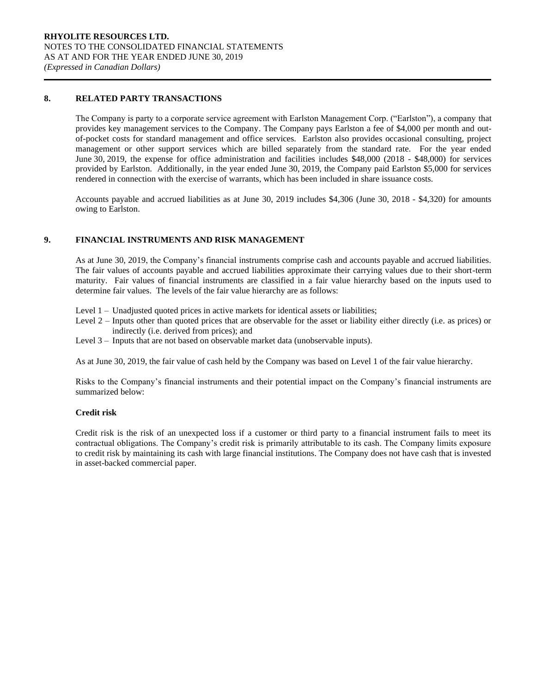#### **8. RELATED PARTY TRANSACTIONS**

The Company is party to a corporate service agreement with Earlston Management Corp. ("Earlston"), a company that provides key management services to the Company. The Company pays Earlston a fee of \$4,000 per month and outof-pocket costs for standard management and office services. Earlston also provides occasional consulting, project management or other support services which are billed separately from the standard rate. For the year ended June 30, 2019, the expense for office administration and facilities includes \$48,000 (2018 - \$48,000) for services provided by Earlston. Additionally, in the year ended June 30, 2019, the Company paid Earlston \$5,000 for services rendered in connection with the exercise of warrants, which has been included in share issuance costs.

Accounts payable and accrued liabilities as at June 30, 2019 includes \$4,306 (June 30, 2018 - \$4,320) for amounts owing to Earlston.

#### **9. FINANCIAL INSTRUMENTS AND RISK MANAGEMENT**

As at June 30, 2019, the Company's financial instruments comprise cash and accounts payable and accrued liabilities. The fair values of accounts payable and accrued liabilities approximate their carrying values due to their short-term maturity. Fair values of financial instruments are classified in a fair value hierarchy based on the inputs used to determine fair values. The levels of the fair value hierarchy are as follows:

Level 1 – Unadjusted quoted prices in active markets for identical assets or liabilities;

Level 2 – Inputs other than quoted prices that are observable for the asset or liability either directly (i.e. as prices) or indirectly (i.e. derived from prices); and

Level 3 – Inputs that are not based on observable market data (unobservable inputs).

As at June 30, 2019, the fair value of cash held by the Company was based on Level 1 of the fair value hierarchy.

Risks to the Company's financial instruments and their potential impact on the Company's financial instruments are summarized below:

#### **Credit risk**

Credit risk is the risk of an unexpected loss if a customer or third party to a financial instrument fails to meet its contractual obligations. The Company's credit risk is primarily attributable to its cash. The Company limits exposure to credit risk by maintaining its cash with large financial institutions. The Company does not have cash that is invested in asset-backed commercial paper.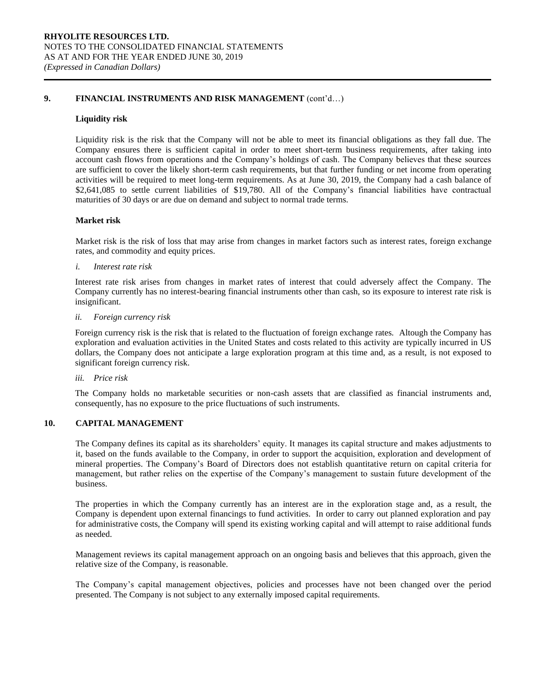#### **9. FINANCIAL INSTRUMENTS AND RISK MANAGEMENT** (cont'd…)

#### **Liquidity risk**

Liquidity risk is the risk that the Company will not be able to meet its financial obligations as they fall due. The Company ensures there is sufficient capital in order to meet short-term business requirements, after taking into account cash flows from operations and the Company's holdings of cash. The Company believes that these sources are sufficient to cover the likely short-term cash requirements, but that further funding or net income from operating activities will be required to meet long-term requirements. As at June 30, 2019, the Company had a cash balance of \$2,641,085 to settle current liabilities of \$19,780. All of the Company's financial liabilities have contractual maturities of 30 days or are due on demand and subject to normal trade terms.

#### **Market risk**

Market risk is the risk of loss that may arise from changes in market factors such as interest rates, foreign exchange rates, and commodity and equity prices.

*i. Interest rate risk* 

Interest rate risk arises from changes in market rates of interest that could adversely affect the Company. The Company currently has no interest-bearing financial instruments other than cash, so its exposure to interest rate risk is insignificant.

#### *ii. Foreign currency risk*

Foreign currency risk is the risk that is related to the fluctuation of foreign exchange rates. Altough the Company has exploration and evaluation activities in the United States and costs related to this activity are typically incurred in US dollars, the Company does not anticipate a large exploration program at this time and, as a result, is not exposed to significant foreign currency risk.

*iii. Price risk* 

The Company holds no marketable securities or non-cash assets that are classified as financial instruments and, consequently, has no exposure to the price fluctuations of such instruments.

#### **10. CAPITAL MANAGEMENT**

The Company defines its capital as its shareholders' equity. It manages its capital structure and makes adjustments to it, based on the funds available to the Company, in order to support the acquisition, exploration and development of mineral properties. The Company's Board of Directors does not establish quantitative return on capital criteria for management, but rather relies on the expertise of the Company's management to sustain future development of the business.

The properties in which the Company currently has an interest are in the exploration stage and, as a result, the Company is dependent upon external financings to fund activities. In order to carry out planned exploration and pay for administrative costs, the Company will spend its existing working capital and will attempt to raise additional funds as needed.

Management reviews its capital management approach on an ongoing basis and believes that this approach, given the relative size of the Company, is reasonable.

The Company's capital management objectives, policies and processes have not been changed over the period presented. The Company is not subject to any externally imposed capital requirements.